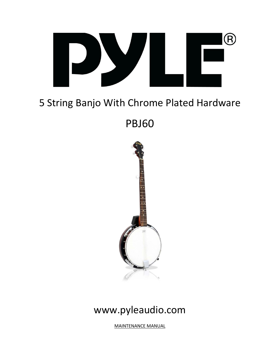

# 5 String Banjo With Chrome Plated Hardware

PBJ60



# www.pyleaudio.com

MAINTENANCE MANUAL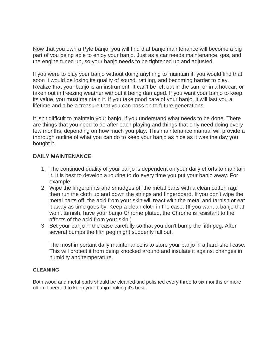Now that you own a Pyle banjo, you will find that banjo maintenance will become a big part of you being able to enjoy your banjo. Just as a car needs maintenance, gas, and the engine tuned up, so your banjo needs to be tightened up and adjusted.

If you were to play your banjo without doing anything to maintain it, you would find that soon it would be losing its quality of sound, rattling, and becoming harder to play. Realize that your banjo is an instrument. It can't be left out in the sun, or in a hot car, or taken out in freezing weather without it being damaged. If you want your banjo to keep its value, you must maintain it. If you take good care of your banjo, it will last you a lifetime and a be a treasure that you can pass on to future generations.

It isn't difficult to maintain your banjo, if you understand what needs to be done. There are things that you need to do after each playing and things that only need doing every few months, depending on how much you play. This maintenance manual will provide a thorough outline of what you can do to keep your banjo as nice as it was the day you bought it.

# **DAILY MAINTENANCE**

- 1. The continued quality of your banjo is dependent on your daily efforts to maintain it. It is best to develop a routine to do every time you put your banjo away. For example:
- 2. Wipe the fingerprints and smudges off the metal parts with a clean cotton rag; then run the cloth up and down the strings and fingerboard. If you don't wipe the metal parts off, the acid from your skin will react with the metal and tarnish or eat it away as time goes by. Keep a clean cloth in the case. (If you want a banjo that won't tarnish, have your banjo Chrome plated, the Chrome is resistant to the affects of the acid from your skin.)
- 3. Set your banjo in the case carefully so that you don't bump the fifth peg. After several bumps the fifth peg might suddenly fall out.

The most important daily maintenance is to store your banjo in a hard-shell case. This will protect it from being knocked around and insulate it against changes in humidity and temperature.

# **CLEANING**

Both wood and metal parts should be cleaned and polished every three to six months or more often if needed to keep your banjo looking it's best.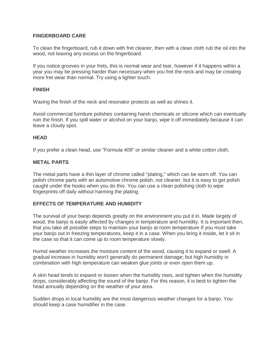## **FINGERBOARD CARE**

To clean the fingerboard, rub it down with fret cleaner, then with a clean cloth rub the oil into the wood, not leaving any excess on the fingerboard.

If you notice grooves in your frets, this is normal wear and tear, however if it happens within a year you may be pressing harder than necessary when you fret the neck and may be creating more fret wear than normal. Try using a lighter touch.

#### **FINISH**

Waxing the finish of the neck and resonator protects as well as shines it.

Avoid commercial furniture polishes containing harsh chemicals or silicone which can eventually ruin the finish. If you spill water or alcohol on your banjo, wipe it off immediately because it can leave a cloudy spot.

#### **HEAD**

If you prefer a clean head, use "Formula 409" or similar cleaner and a white cotton cloth.

### **METAL PARTS**

The metal parts have a thin layer of chrome called "plating," which can be worn off. You can polish chrome parts with an automotive chrome polish, not cleaner, but it is easy to get polish caught under the hooks when you do this. You can use a clean polishing cloth to wipe fingerprints off daily without harming the plating.

#### **EFFECTS OF TEMPERATURE AND HUMIDITY**

The survival of your banjo depends greatly on the environment you put it in. Made largely of wood, the banjo is easily affected by changes in temperature and humidity. It is important then, that you take all possible steps to maintain your banjo at room temperature If you must take your banjo out in freezing temperatures, keep it in a case. When you bring it inside, let it sit in the case so that it can come up to room temperature slowly.

Humid weather increases the moisture content of the wood, causing it to expand or swell. A gradual increase in humidity won't generally do permanent damage; but high humidity in combination with high temperature can weaken glue joints or even open them up.

A skin head tends to expand or loosen when the humidity rises, and tighten when the humidity drops, considerably affecting the sound of the banjo. For this reason, it is best to tighten the head annually depending on the weather of your area.

Sudden drops in local humidity are the most dangerous weather changes for a banjo. You should keep a case humidifier in the case.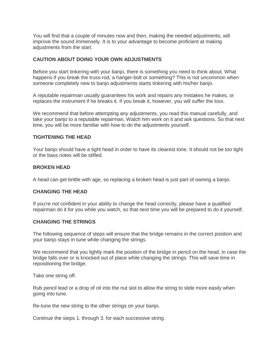You will find that a couple of minutes now and then, making the needed adjustments, will improve the sound immensely. It is to your advantage to become proficient at making adjustments from the start.

## **CAUTION ABOUT DOING YOUR OWN ADJUSTMENTS**

Before you start tinkering with your banjo, there is something you need to think about. What happens if you break the truss-rod, a hanger-bolt or something? This is not uncommon when someone completely new to banjo adjustments starts tinkering with his/her banjo.

A reputable repairman usually guarantees his work and repairs any mistakes he makes, or replaces the instrument if he breaks it. If you break it, however, you will suffer the loss.

We recommend that before attempting any adjustments, you read this manual carefully, and take your banjo to a reputable repairman. Watch him work on it and ask questions. So that next time, you will be more familiar with how to do the adjustments yourself.

#### **TIGHTENING THE HEAD**

Your banjo should have a tight head in order to have its clearest tone. It should not be too tight or the bass notes will be stifled.

#### **BROKEN HEAD**

A head can get brittle with age, so replacing a broken head is just part of owning a banjo.

# **CHANGING THE HEAD**

If you're not confident in your ability to change the head correctly, please have a qualified repairman do it for you while you watch, so that next time you will be prepared to do it yourself.

#### **CHANGING THE STRINGS**

The following sequence of steps will ensure that the bridge remains in the correct position and your banjo stays in tune while changing the strings.

We recommend that you lightly mark the position of the bridge in pencil on the head, in case the bridge falls over or is knocked out of place while changing the strings. This will save time in repositioning the bridge.

Take one string off.

Rub pencil lead or a drop of oil into the nut slot to allow the string to slide more easily when going into tune.

Re-tune the new string to the other strings on your banjo.

Continue the steps 1. through 3. for each successive string.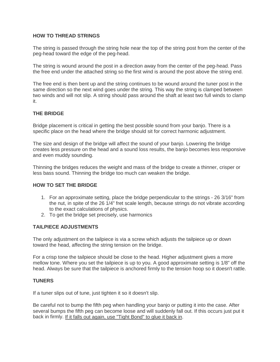# **HOW TO THREAD STRINGS**

The string is passed through the string hole near the top of the string post from the center of the peg-head toward the edge of the peg-head.

The string is wound around the post in a direction away from the center of the peg-head. Pass the free end under the attached string so the first wind is around the post above the string end.

The free end is then bent up and the string continues to be wound around the tuner post in the same direction so the next wind goes under the string. This way the string is clamped between two winds and will not slip. A string should pass around the shaft at least two full winds to clamp it.

# **THE BRIDGE**

Bridge placement is critical in getting the best possible sound from your banjo. There is a specific place on the head where the bridge should sit for correct harmonic adjustment.

The size and design of the bridge will affect the sound of your banjo. Lowering the bridge creates less pressure on the head and a sound loss results, the banjo becomes less responsive and even muddy sounding.

Thinning the bridges reduces the weight and mass of the bridge to create a thinner, crisper or less bass sound. Thinning the bridge too much can weaken the bridge.

#### **HOW TO SET THE BRIDGE**

- 1. For an approximate setting, place the bridge perpendicular to the strings 26 3/16" from the nut, in spite of the 26 1/4" fret scale length, because strings do not vibrate according to the exact calculations of physics.
- 2. To get the bridge set precisely, use harmonics

#### **TAILPIECE ADJUSTMENTS**

The only adjustment on the tailpiece is via a screw which adjusts the tailpiece up or down toward the head, affecting the string tension on the bridge.

For a crisp tone the tailpiece should be close to the head. Higher adjustment gives a more mellow tone. Where you set the tailpiece is up to you. A good approximate setting is 1/8" off the head. Always be sure that the tailpiece is anchored firmly to the tension hoop so it doesn't rattle.

#### **TUNERS**

If a tuner slips out of tune, just tighten it so it doesn't slip.

Be careful not to bump the fifth peg when handling your banjo or putting it into the case. After several bumps the fifth peg can become loose and will suddenly fall out. If this occurs just put it back in firmly. If it falls out again, use "Tight Bond" to glue it back in.